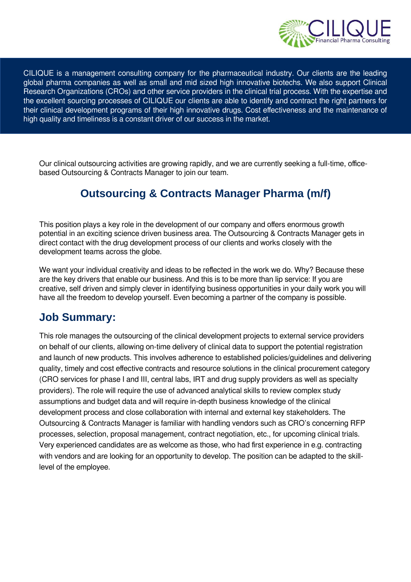

CILIQUE is a management consulting company for the pharmaceutical industry. Our clients are the leading global pharma companies as well as small and mid sized high innovative biotechs. We also support Clinical Research Organizations (CROs) and other service providers in the clinical trial process. With the expertise and the excellent sourcing processes of CILIQUE our clients are able to identify and contract the right partners for their clinical development programs of their high innovative drugs. Cost effectiveness and the maintenance of high quality and timeliness is a constant driver of our success in the market.

Our clinical outsourcing activities are growing rapidly, and we are currently seeking a full-time, officebased Outsourcing & Contracts Manager to join our team.

### **Outsourcing & Contracts Manager Pharma (m/f)**

This position plays a key role in the development of our company and offers enormous growth potential in an exciting science driven business area. The Outsourcing & Contracts Manager gets in direct contact with the drug development process of our clients and works closely with the development teams across the globe.

We want your individual creativity and ideas to be reflected in the work we do. Why? Because these are the key drivers that enable our business. And this is to be more than lip service: If you are creative, self driven and simply clever in identifying business opportunities in your daily work you will have all the freedom to develop yourself. Even becoming a partner of the company is possible.

#### **Job Summary:**

This role manages the outsourcing of the clinical development projects to external service providers on behalf of our clients, allowing on-time delivery of clinical data to support the potential registration and launch of new products. This involves adherence to established policies/guidelines and delivering quality, timely and cost effective contracts and resource solutions in the clinical procurement category (CRO services for phase I and III, central labs, IRT and drug supply providers as well as specialty providers). The role will require the use of advanced analytical skills to review complex study assumptions and budget data and will require in-depth business knowledge of the clinical development process and close collaboration with internal and external key stakeholders. The Outsourcing & Contracts Manager is familiar with handling vendors such as CRO's concerning RFP processes, selection, proposal management, contract negotiation, etc., for upcoming clinical trials. Very experienced candidates are as welcome as those, who had first experience in e.g. contracting with vendors and are looking for an opportunity to develop. The position can be adapted to the skilllevel of the employee.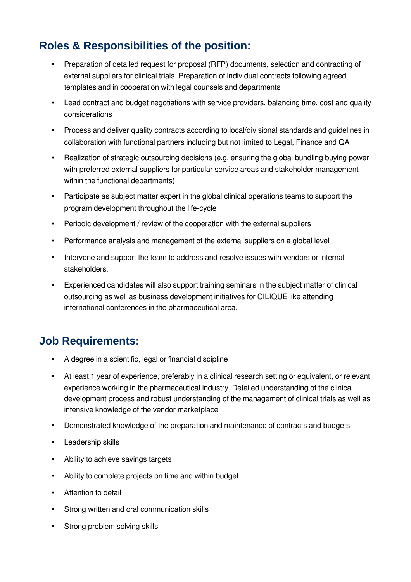# **Roles & Responsibilities of the position:**

- Preparation of detailed request for proposal (RFP) documents, selection and contracting of external suppliers for clinical trials. Preparation of individual contracts following agreed templates and in cooperation with legal counsels and departments
- Lead contract and budget negotiations with service providers, balancing time, cost and quality considerations
- Process and deliver quality contracts according to local/divisional standards and guidelines in collaboration with functional partners including but not limited to Legal, Finance and QA
- Realization of strategic outsourcing decisions (e.g. ensuring the global bundling buying power with preferred external suppliers for particular service areas and stakeholder management within the functional departments)
- Participate as subject matter expert in the global clinical operations teams to support the program development throughout the life-cycle
- Periodic development / review of the cooperation with the external suppliers
- Performance analysis and management of the external suppliers on a global level
- Intervene and support the team to address and resolve issues with vendors or internal stakeholders.
- Experienced candidates will also support training seminars in the subject matter of clinical outsourcing as well as business development initiatives for CILIQUE like attending international conferences in the pharmaceutical area.

## **Job Requirements:**

- A degree in a scientific, legal or financial discipline
- At least 1 year of experience, preferably in a clinical research setting or equivalent, or relevant experience working in the pharmaceutical industry. Detailed understanding of the clinical development process and robust understanding of the management of clinical trials as well as intensive knowledge of the vendor marketplace
- Demonstrated knowledge of the preparation and maintenance of contracts and budgets
- Leadership skills
- Ability to achieve savings targets
- Ability to complete projects on time and within budget
- Attention to detail
- Strong written and oral communication skills
- Strong problem solving skills